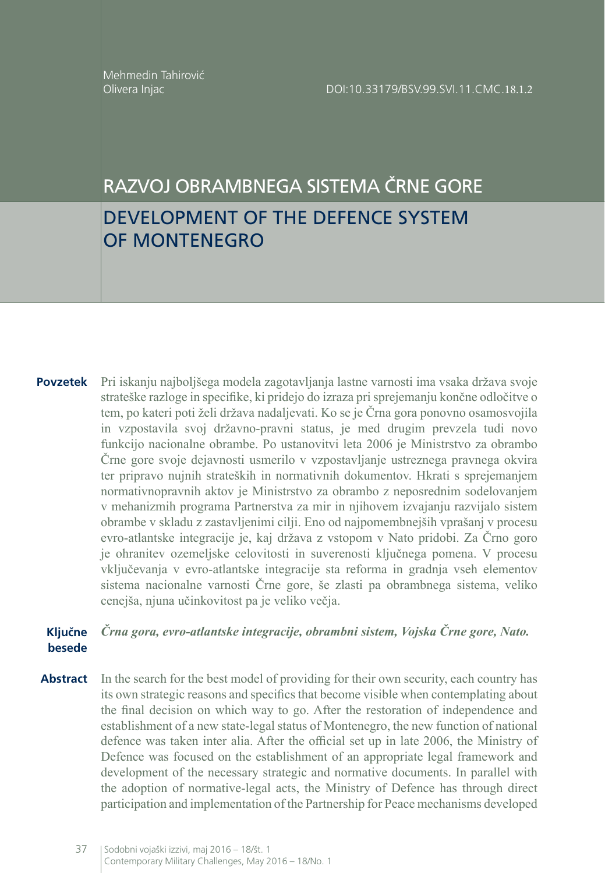# RAZVOJ OBRAMBNEGA SISTEMA ČRNE GORE DEVELOPMENT OF THE DEFENCE SYSTEM OF MONTENEGRO

**Povzetek** Pri iskanju najboljšega modela zagotavljanja lastne varnosti ima vsaka država svoje strateške razloge in specifike, ki pridejo do izraza pri sprejemanju končne odločitve o tem, po kateri poti želi država nadaljevati. Ko se je Črna gora ponovno osamosvojila in vzpostavila svoj državno-pravni status, je med drugim prevzela tudi novo funkcijo nacionalne obrambe. Po ustanovitvi leta 2006 je Ministrstvo za obrambo Črne gore svoje dejavnosti usmerilo v vzpostavljanje ustreznega pravnega okvira ter pripravo nujnih strateških in normativnih dokumentov. Hkrati s sprejemanjem normativnopravnih aktov je Ministrstvo za obrambo z neposrednim sodelovanjem v mehanizmih programa Partnerstva za mir in njihovem izvajanju razvijalo sistem obrambe v skladu z zastavljenimi cilji. Eno od najpomembnejših vprašanj v procesu evro-atlantske integracije je, kaj država z vstopom v Nato pridobi. Za Črno goro je ohranitev ozemeljske celovitosti in suverenosti ključnega pomena. V procesu vključevanja v evro-atlantske integracije sta reforma in gradnja vseh elementov sistema nacionalne varnosti Črne gore, še zlasti pa obrambnega sistema, veliko cenejša, njuna učinkovitost pa je veliko večja.

#### **Ključne besede** *Črna gora, evro-atlantske integracije, obrambni sistem, Vojska Črne gore, Nato.*

**Abstract** In the search for the best model of providing for their own security, each country has its own strategic reasons and specifics that become visible when contemplating about the final decision on which way to go. After the restoration of independence and establishment of a new state-legal status of Montenegro, the new function of national defence was taken inter alia. After the official set up in late 2006, the Ministry of Defence was focused on the establishment of an appropriate legal framework and development of the necessary strategic and normative documents. In parallel with the adoption of normative-legal acts, the Ministry of Defence has through direct participation and implementation of the Partnership for Peace mechanisms developed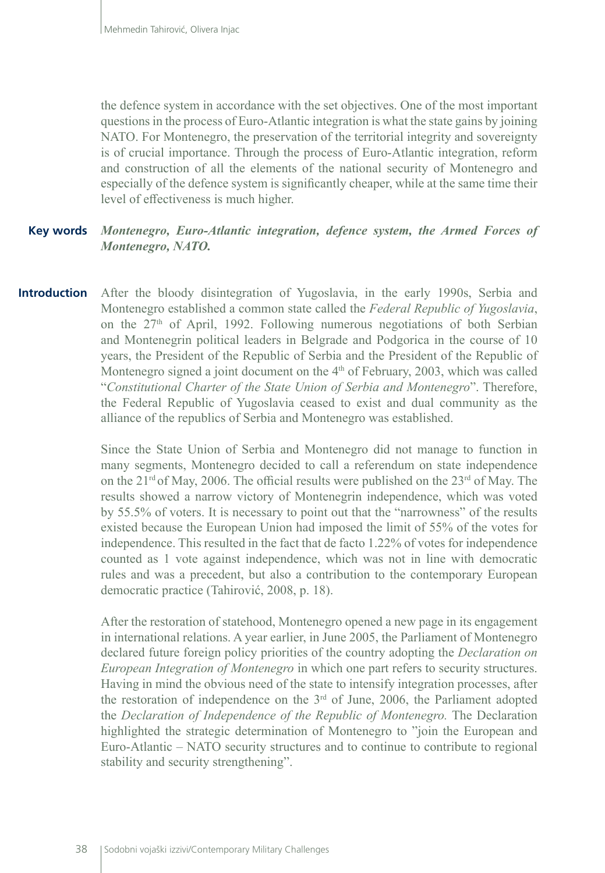the defence system in accordance with the set objectives. One of the most important questions in the process of Euro-Atlantic integration is what the state gains by joining NATO. For Montenegro, the preservation of the territorial integrity and sovereignty is of crucial importance. Through the process of Euro-Atlantic integration, reform and construction of all the elements of the national security of Montenegro and especially of the defence system is significantly cheaper, while at the same time their level of effectiveness is much higher.

#### *Montenegro, Euro-Atlantic integration, defence system, the Armed Forces of Montenegro, NATO.* **Key words**

After the bloody disintegration of Yugoslavia, in the early 1990s, Serbia and Montenegro established a common state called the *Federal Republic of Yugoslavia*, on the  $27<sup>th</sup>$  of April, 1992. Following numerous negotiations of both Serbian and Montenegrin political leaders in Belgrade and Podgorica in the course of 10 years, the President of the Republic of Serbia and the President of the Republic of Montenegro signed a joint document on the  $4<sup>th</sup>$  of February, 2003, which was called "*Constitutional Charter of the State Union of Serbia and Montenegro*". Therefore, the Federal Republic of Yugoslavia ceased to exist and dual community as the alliance of the republics of Serbia and Montenegro was established. **Introduction**

> Since the State Union of Serbia and Montenegro did not manage to function in many segments, Montenegro decided to call a referendum on state independence on the 21<sup>rd</sup> of May, 2006. The official results were published on the 23<sup>rd</sup> of May. The results showed a narrow victory of Montenegrin independence, which was voted by 55.5% of voters. It is necessary to point out that the "narrowness" of the results existed because the European Union had imposed the limit of 55% of the votes for independence. This resulted in the fact that de facto 1.22% of votes for independence counted as 1 vote against independence, which was not in line with democratic rules and was a precedent, but also a contribution to the contemporary European democratic practice (Tahirović, 2008, p. 18).

> After the restoration of statehood, Montenegro opened a new page in its engagement in international relations. A year earlier, in June 2005, the Parliament of Montenegro declared future foreign policy priorities of the country adopting the *Declaration on European Integration of Montenegro* in which one part refers to security structures. Having in mind the obvious need of the state to intensify integration processes, after the restoration of independence on the 3rd of June, 2006, the Parliament adopted the *Declaration of Independence of the Republic of Montenegro.* The Declaration highlighted the strategic determination of Montenegro to "join the European and Euro-Atlantic – NATO security structures and to continue to contribute to regional stability and security strengthening".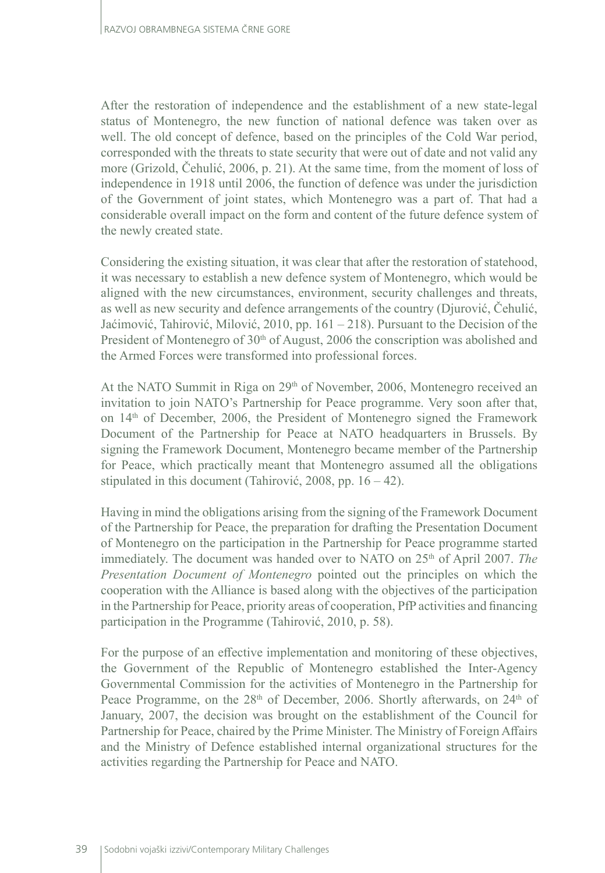After the restoration of independence and the establishment of a new state-legal status of Montenegro, the new function of national defence was taken over as well. The old concept of defence, based on the principles of the Cold War period, corresponded with the threats to state security that were out of date and not valid any more (Grizold, Čehulić, 2006, p. 21). At the same time, from the moment of loss of independence in 1918 until 2006, the function of defence was under the jurisdiction of the Government of joint states, which Montenegro was a part of. That had a considerable overall impact on the form and content of the future defence system of the newly created state.

Considering the existing situation, it was clear that after the restoration of statehood, it was necessary to establish a new defence system of Montenegro, which would be aligned with the new circumstances, environment, security challenges and threats, as well as new security and defence arrangements of the country (Djurović, Čehulić, Jaćimović, Tahirović, Milović, 2010, pp. 161 – 218). Pursuant to the Decision of the President of Montenegro of 30<sup>th</sup> of August, 2006 the conscription was abolished and the Armed Forces were transformed into professional forces.

At the NATO Summit in Riga on  $29<sup>th</sup>$  of November, 2006, Montenegro received an invitation to join NATO's Partnership for Peace programme. Very soon after that, on 14th of December, 2006, the President of Montenegro signed the Framework Document of the Partnership for Peace at NATO headquarters in Brussels. By signing the Framework Document, Montenegro became member of the Partnership for Peace, which practically meant that Montenegro assumed all the obligations stipulated in this document (Tahirović, 2008, pp. 16 – 42).

Having in mind the obligations arising from the signing of the Framework Document of the Partnership for Peace, the preparation for drafting the Presentation Document of Montenegro on the participation in the Partnership for Peace programme started immediately. The document was handed over to NATO on 25<sup>th</sup> of April 2007. The *Presentation Document of Montenegro* pointed out the principles on which the cooperation with the Alliance is based along with the objectives of the participation in the Partnership for Peace, priority areas of cooperation, PfP activities and financing participation in the Programme (Tahirović, 2010, p. 58).

For the purpose of an effective implementation and monitoring of these objectives, the Government of the Republic of Montenegro established the Inter-Agency Governmental Commission for the activities of Montenegro in the Partnership for Peace Programme, on the 28<sup>th</sup> of December, 2006. Shortly afterwards, on 24<sup>th</sup> of January, 2007, the decision was brought on the establishment of the Council for Partnership for Peace, chaired by the Prime Minister. The Ministry of Foreign Affairs and the Ministry of Defence established internal organizational structures for the activities regarding the Partnership for Peace and NATO.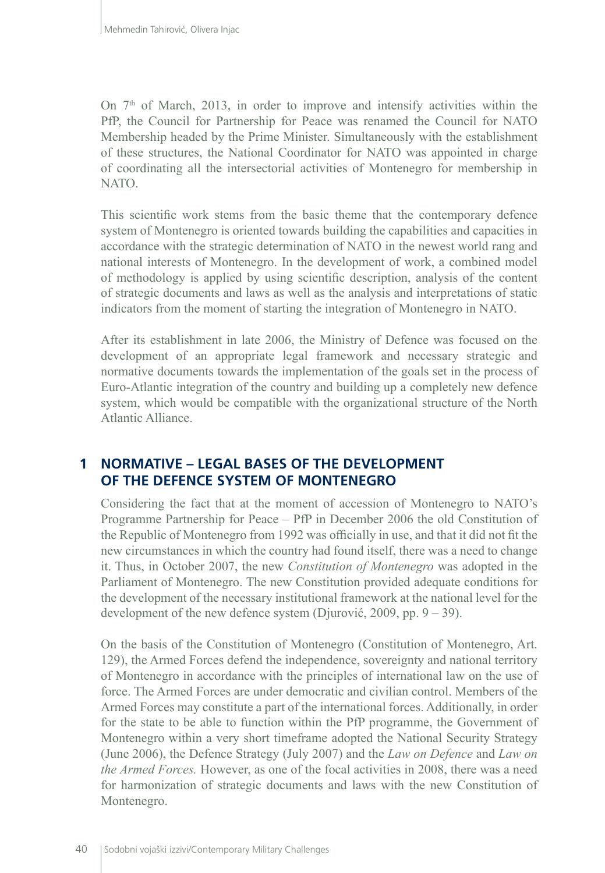On  $7<sup>th</sup>$  of March, 2013, in order to improve and intensify activities within the PfP, the Council for Partnership for Peace was renamed the Council for NATO Membership headed by the Prime Minister. Simultaneously with the establishment of these structures, the National Coordinator for NATO was appointed in charge of coordinating all the intersectorial activities of Montenegro for membership in NATO.

This scientific work stems from the basic theme that the contemporary defence system of Montenegro is oriented towards building the capabilities and capacities in accordance with the strategic determination of NATO in the newest world rang and national interests of Montenegro. In the development of work, a combined model of methodology is applied by using scientific description, analysis of the content of strategic documents and laws as well as the analysis and interpretations of static indicators from the moment of starting the integration of Montenegro in NATO.

After its establishment in late 2006, the Ministry of Defence was focused on the development of an appropriate legal framework and necessary strategic and normative documents towards the implementation of the goals set in the process of Euro-Atlantic integration of the country and building up a completely new defence system, which would be compatible with the organizational structure of the North Atlantic Alliance.

# **1 NORMATIVE – LEGAL BASES OF THE DEVELOPMENT OF THE DEFENCE SYSTEM OF MONTENEGRO**

Considering the fact that at the moment of accession of Montenegro to NATO's Programme Partnership for Peace – PfP in December 2006 the old Constitution of the Republic of Montenegro from 1992 was officially in use, and that it did not fit the new circumstances in which the country had found itself, there was a need to change it. Thus, in October 2007, the new *Constitution of Montenegro* was adopted in the Parliament of Montenegro. The new Constitution provided adequate conditions for the development of the necessary institutional framework at the national level for the development of the new defence system (Djurović, 2009, pp.  $9 - 39$ ).

On the basis of the Constitution of Montenegro (Constitution of Montenegro, Art. 129), the Armed Forces defend the independence, sovereignty and national territory of Montenegro in accordance with the principles of international law on the use of force. The Armed Forces are under democratic and civilian control. Members of the Armed Forces may constitute a part of the international forces. Additionally, in order for the state to be able to function within the PfP programme, the Government of Montenegro within a very short timeframe adopted the National Security Strategy (June 2006), the Defence Strategy (July 2007) and the *Law on Defence* and *Law on the Armed Forces.* However, as one of the focal activities in 2008, there was a need for harmonization of strategic documents and laws with the new Constitution of Montenegro.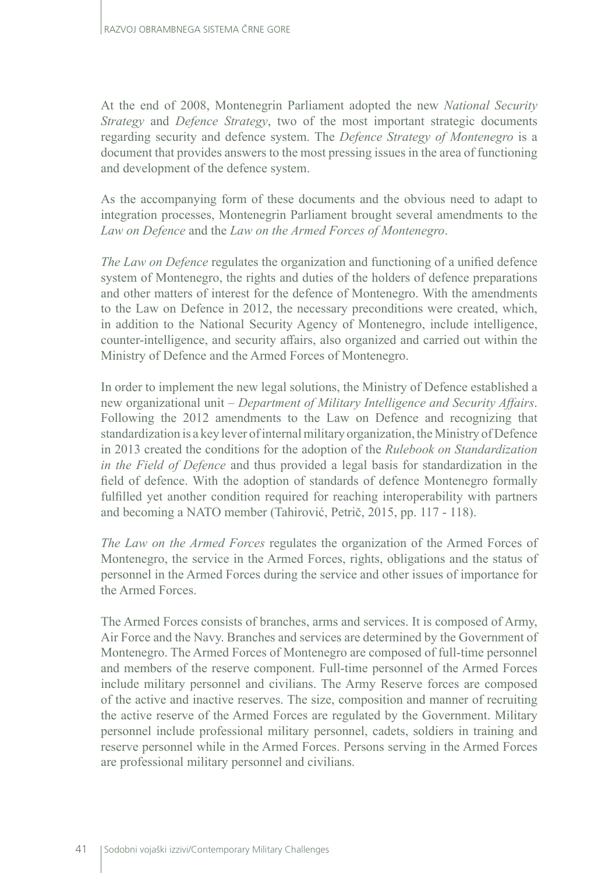At the end of 2008, Montenegrin Parliament adopted the new *National Security Strategy* and *Defence Strategy*, two of the most important strategic documents regarding security and defence system. The *Defence Strategy of Montenegro* is a document that provides answers to the most pressing issues in the area of functioning and development of the defence system.

As the accompanying form of these documents and the obvious need to adapt to integration processes, Montenegrin Parliament brought several amendments to the *Law on Defence* and the *Law on the Armed Forces of Montenegro*.

*The Law on Defence* regulates the organization and functioning of a unified defence system of Montenegro, the rights and duties of the holders of defence preparations and other matters of interest for the defence of Montenegro. With the amendments to the Law on Defence in 2012, the necessary preconditions were created, which, in addition to the National Security Agency of Montenegro, include intelligence, counter-intelligence, and security affairs, also organized and carried out within the Ministry of Defence and the Armed Forces of Montenegro.

In order to implement the new legal solutions, the Ministry of Defence established a new organizational unit – *Department of Military Intelligence and Security Affairs*. Following the 2012 amendments to the Law on Defence and recognizing that standardization is a key lever of internal military organization, the Ministry of Defence in 2013 created the conditions for the adoption of the *Rulebook on Standardization in the Field of Defence* and thus provided a legal basis for standardization in the field of defence. With the adoption of standards of defence Montenegro formally fulfilled yet another condition required for reaching interoperability with partners and becoming a NATO member (Tahirović, Petrič, 2015, pp. 117 - 118).

*The Law on the Armed Forces* regulates the organization of the Armed Forces of Montenegro, the service in the Armed Forces, rights, obligations and the status of personnel in the Armed Forces during the service and other issues of importance for the Armed Forces.

The Armed Forces consists of branches, arms and services. It is composed of Army, Air Force and the Navy. Branches and services are determined by the Government of Montenegro. The Armed Forces of Montenegro are composed of full-time personnel and members of the reserve component. Full-time personnel of the Armed Forces include military personnel and civilians. The Army Reserve forces are composed of the active and inactive reserves. The size, composition and manner of recruiting the active reserve of the Armed Forces are regulated by the Government. Military personnel include professional military personnel, cadets, soldiers in training and reserve personnel while in the Armed Forces. Persons serving in the Armed Forces are professional military personnel and civilians.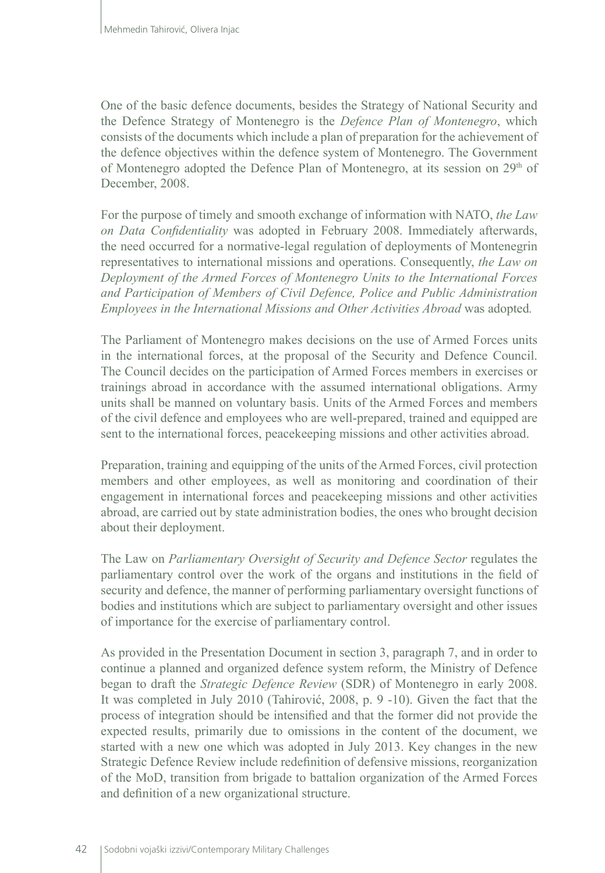One of the basic defence documents, besides the Strategy of National Security and the Defence Strategy of Montenegro is the *Defence Plan of Montenegro*, which consists of the documents which include a plan of preparation for the achievement of the defence objectives within the defence system of Montenegro. The Government of Montenegro adopted the Defence Plan of Montenegro, at its session on 29<sup>th</sup> of December, 2008.

For the purpose of timely and smooth exchange of information with NATO, *the Law on Data Confidentiality* was adopted in February 2008. Immediately afterwards, the need occurred for a normative-legal regulation of deployments of Montenegrin representatives to international missions and operations. Consequently, *the Law on Deployment of the Armed Forces of Montenegro Units to the International Forces and Participation of Members of Civil Defence, Police and Public Administration Employees in the International Missions and Other Activities Abroad* was adopted*.*

The Parliament of Montenegro makes decisions on the use of Armed Forces units in the international forces, at the proposal of the Security and Defence Council. The Council decides on the participation of Armed Forces members in exercises or trainings abroad in accordance with the assumed international obligations. Army units shall be manned on voluntary basis. Units of the Armed Forces and members of the civil defence and employees who are well-prepared, trained and equipped are sent to the international forces, peacekeeping missions and other activities abroad.

Preparation, training and equipping of the units of the Armed Forces, civil protection members and other employees, as well as monitoring and coordination of their engagement in international forces and peacekeeping missions and other activities abroad, are carried out by state administration bodies, the ones who brought decision about their deployment.

The Law on *Parliamentary Oversight of Security and Defence Sector* regulates the parliamentary control over the work of the organs and institutions in the field of security and defence, the manner of performing parliamentary oversight functions of bodies and institutions which are subject to parliamentary oversight and other issues of importance for the exercise of parliamentary control.

As provided in the Presentation Document in section 3, paragraph 7, and in order to continue a planned and organized defence system reform, the Ministry of Defence began to draft the *Strategic Defence Review* (SDR) of Montenegro in early 2008. It was completed in July 2010 (Tahirović, 2008, p. 9 -10). Given the fact that the process of integration should be intensified and that the former did not provide the expected results, primarily due to omissions in the content of the document, we started with a new one which was adopted in July 2013. Key changes in the new Strategic Defence Review include redefinition of defensive missions, reorganization of the MoD, transition from brigade to battalion organization of the Armed Forces and definition of a new organizational structure.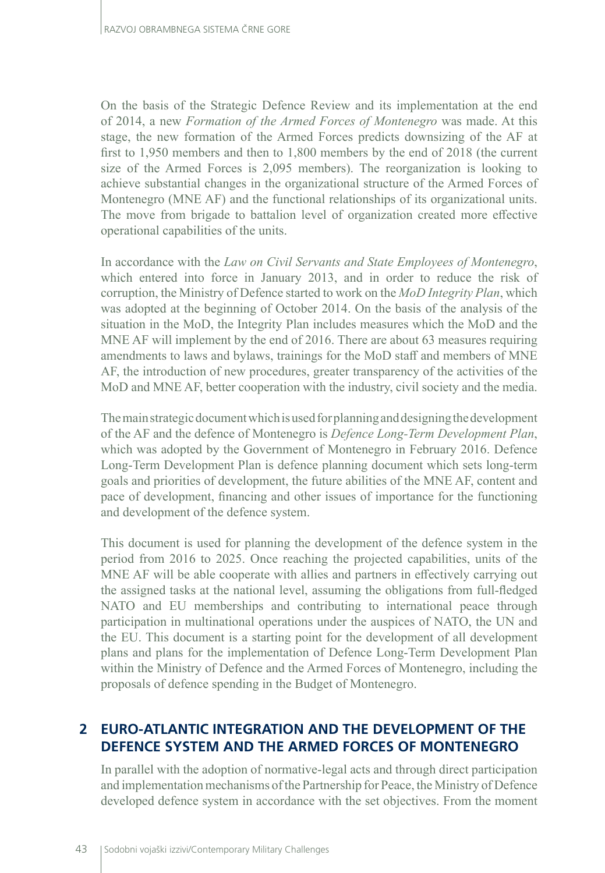On the basis of the Strategic Defence Review and its implementation at the end of 2014, a new *Formation of the Armed Forces of Montenegro* was made. At this stage, the new formation of the Armed Forces predicts downsizing of the AF at first to 1,950 members and then to 1,800 members by the end of 2018 (the current size of the Armed Forces is 2,095 members). The reorganization is looking to achieve substantial changes in the organizational structure of the Armed Forces of Montenegro (MNE AF) and the functional relationships of its organizational units. The move from brigade to battalion level of organization created more effective operational capabilities of the units.

In accordance with the *Law on Civil Servants and State Employees of Montenegro*, which entered into force in January 2013, and in order to reduce the risk of corruption, the Ministry of Defence started to work on the *MoD Integrity Plan*, which was adopted at the beginning of October 2014. On the basis of the analysis of the situation in the MoD, the Integrity Plan includes measures which the MoD and the MNE AF will implement by the end of 2016. There are about 63 measures requiring amendments to laws and bylaws, trainings for the MoD staff and members of MNE AF, the introduction of new procedures, greater transparency of the activities of the MoD and MNE AF, better cooperation with the industry, civil society and the media.

The main strategic document which is used for planning and designing the development of the AF and the defence of Montenegro is *Defence Long-Term Development Plan*, which was adopted by the Government of Montenegro in February 2016. Defence Long-Term Development Plan is defence planning document which sets long-term goals and priorities of development, the future abilities of the MNE AF, content and pace of development, financing and other issues of importance for the functioning and development of the defence system.

This document is used for planning the development of the defence system in the period from 2016 to 2025. Once reaching the projected capabilities, units of the MNE AF will be able cooperate with allies and partners in effectively carrying out the assigned tasks at the national level, assuming the obligations from full-fledged NATO and EU memberships and contributing to international peace through participation in multinational operations under the auspices of NATO, the UN and the EU. This document is a starting point for the development of all development plans and plans for the implementation of Defence Long-Term Development Plan within the Ministry of Defence and the Armed Forces of Montenegro, including the proposals of defence spending in the Budget of Montenegro.

# **2 EURO-ATLANTIC INTEGRATION AND THE DEVELOPMENT OF THE DEFENCE SYSTEM AND THE ARMED FORCES OF MONTENEGRO**

In parallel with the adoption of normative-legal acts and through direct participation and implementation mechanisms of the Partnership for Peace, the Ministry of Defence developed defence system in accordance with the set objectives. From the moment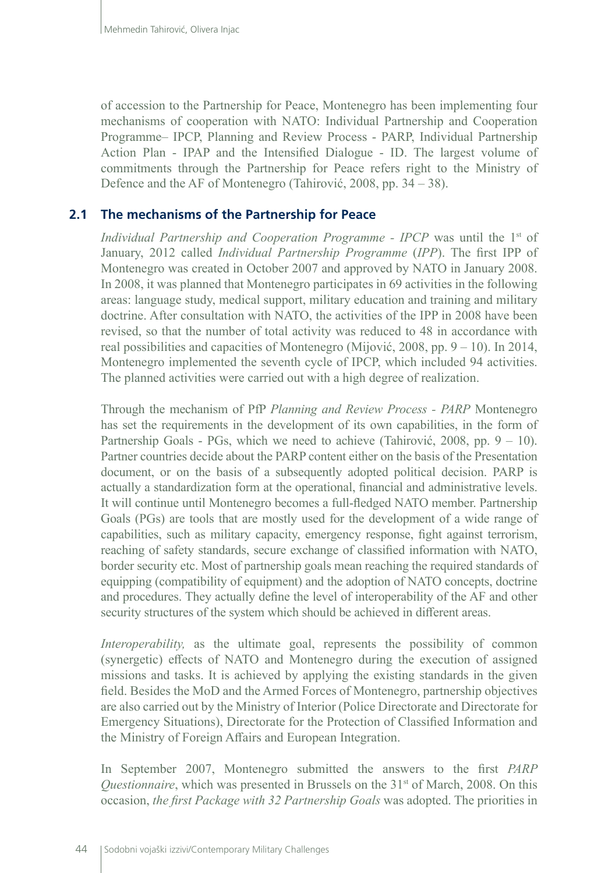of accession to the Partnership for Peace, Montenegro has been implementing four mechanisms of cooperation with NATO: Individual Partnership and Cooperation Programme– IPCP, Planning and Review Process - PARP, Individual Partnership Action Plan - IPAP and the Intensified Dialogue - ID. The largest volume of commitments through the Partnership for Peace refers right to the Ministry of Defence and the AF of Montenegro (Tahirović, 2008, pp. 34 – 38).

# **2.1 The mechanisms of the Partnership for Peace**

*Individual Partnership and Cooperation Programme - IPCP* was until the 1<sup>st</sup> of January, 2012 called *Individual Partnership Programme* (*IPP*). The first IPP of Montenegro was created in October 2007 and approved by NATO in January 2008. In 2008, it was planned that Montenegro participates in 69 activities in the following areas: language study, medical support, military education and training and military doctrine. After consultation with NATO, the activities of the IPP in 2008 have been revised, so that the number of total activity was reduced to 48 in accordance with real possibilities and capacities of Montenegro (Mijović, 2008, pp. 9 – 10). In 2014, Montenegro implemented the seventh cycle of IPCP, which included 94 activities. The planned activities were carried out with a high degree of realization.

Through the mechanism of PfP *Planning and Review Process - PARP* Montenegro has set the requirements in the development of its own capabilities, in the form of Partnership Goals - PGs, which we need to achieve (Tahirović, 2008, pp.  $9 - 10$ ). Partner countries decide about the PARP content either on the basis of the Presentation document, or on the basis of a subsequently adopted political decision. PARP is actually a standardization form at the operational, financial and administrative levels. It will continue until Montenegro becomes a full-fledged NATO member. Partnership Goals (PGs) are tools that are mostly used for the development of a wide range of capabilities, such as military capacity, emergency response, fight against terrorism, reaching of safety standards, secure exchange of classified information with NATO, border security etc. Most of partnership goals mean reaching the required standards of equipping (compatibility of equipment) and the adoption of NATO concepts, doctrine and procedures. They actually define the level of interoperability of the AF and other security structures of the system which should be achieved in different areas.

*Interoperability*, as the ultimate goal, represents the possibility of common (synergetic) effects of NATO and Montenegro during the execution of assigned missions and tasks. It is achieved by applying the existing standards in the given field. Besides the MoD and the Armed Forces of Montenegro, partnership objectives are also carried out by the Ministry of Interior (Police Directorate and Directorate for Emergency Situations), Directorate for the Protection of Classified Information and the Ministry of Foreign Affairs and European Integration.

In September 2007, Montenegro submitted the answers to the first *PARP Questionnaire*, which was presented in Brussels on the 31<sup>st</sup> of March, 2008. On this occasion, *the first Package with 32 Partnership Goals* was adopted. The priorities in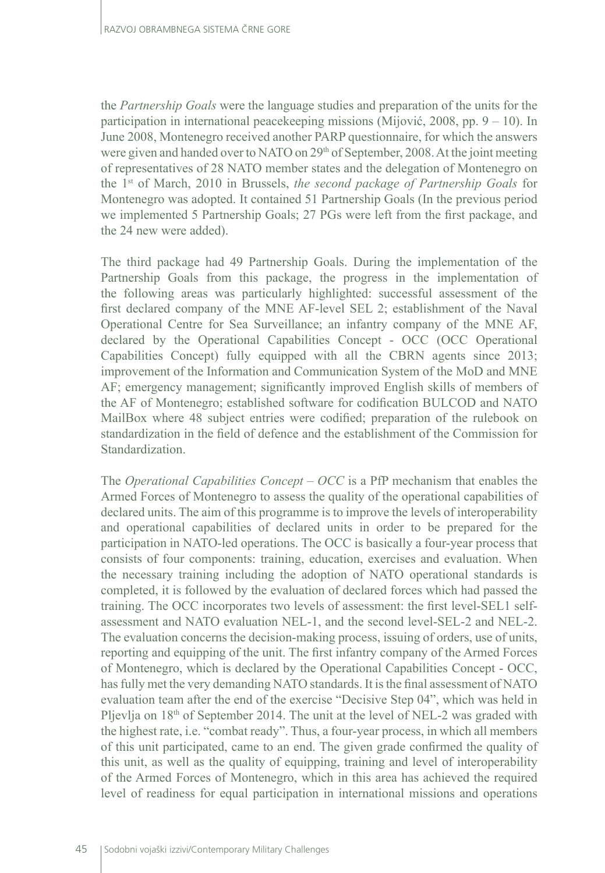the *Partnership Goals* were the language studies and preparation of the units for the participation in international peacekeeping missions (Mijović, 2008, pp. 9 – 10). In June 2008, Montenegro received another PARP questionnaire, for which the answers were given and handed over to NATO on 29<sup>th</sup> of September, 2008. At the joint meeting of representatives of 28 NATO member states and the delegation of Montenegro on the 1st of March, 2010 in Brussels, *the second package of Partnership Goals* for Montenegro was adopted. It contained 51 Partnership Goals (In the previous period we implemented 5 Partnership Goals; 27 PGs were left from the first package, and the 24 new were added).

The third package had 49 Partnership Goals. During the implementation of the Partnership Goals from this package, the progress in the implementation of the following areas was particularly highlighted: successful assessment of the first declared company of the MNE AF-level SEL 2; establishment of the Naval Operational Centre for Sea Surveillance; an infantry company of the MNE AF, declared by the Operational Capabilities Concept - OCC (OCC Operational Capabilities Concept) fully equipped with all the CBRN agents since 2013; improvement of the Information and Communication System of the MoD and MNE AF; emergency management; significantly improved English skills of members of the AF of Montenegro; established software for codification BULCOD and NATO MailBox where 48 subject entries were codified; preparation of the rulebook on standardization in the field of defence and the establishment of the Commission for Standardization.

The *Operational Capabilities Concept – OCC* is a PfP mechanism that enables the Armed Forces of Montenegro to assess the quality of the operational capabilities of declared units. The aim of this programme is to improve the levels of interoperability and operational capabilities of declared units in order to be prepared for the participation in NATO-led operations. The OCC is basically a four-year process that consists of four components: training, education, exercises and evaluation. When the necessary training including the adoption of NATO operational standards is completed, it is followed by the evaluation of declared forces which had passed the training. The OCC incorporates two levels of assessment: the first level-SEL1 selfassessment and NATO evaluation NEL-1, and the second level-SEL-2 and NEL-2. The evaluation concerns the decision-making process, issuing of orders, use of units, reporting and equipping of the unit. The first infantry company of the Armed Forces of Montenegro, which is declared by the Operational Capabilities Concept - OCC, has fully met the very demanding NATO standards. It is the final assessment of NATO evaluation team after the end of the exercise "Decisive Step 04", which was held in Pljevlja on 18<sup>th</sup> of September 2014. The unit at the level of NEL-2 was graded with the highest rate, i.e. "combat ready". Thus, a four-year process, in which all members of this unit participated, came to an end. The given grade confirmed the quality of this unit, as well as the quality of equipping, training and level of interoperability of the Armed Forces of Montenegro, which in this area has achieved the required level of readiness for equal participation in international missions and operations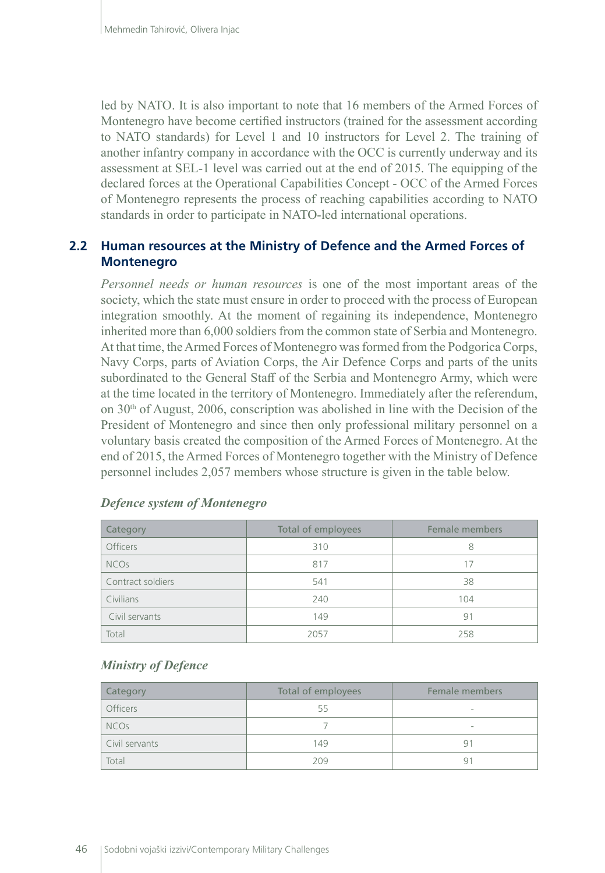led by NATO. It is also important to note that 16 members of the Armed Forces of Montenegro have become certified instructors (trained for the assessment according to NATO standards) for Level 1 and 10 instructors for Level 2. The training of another infantry company in accordance with the OCC is currently underway and its assessment at SEL-1 level was carried out at the end of 2015. The equipping of the declared forces at the Operational Capabilities Concept - OCC of the Armed Forces of Montenegro represents the process of reaching capabilities according to NATO standards in order to participate in NATO-led international operations.

# **2.2 Human resources at the Ministry of Defence and the Armed Forces of Montenegro**

*Personnel needs or human resources* is one of the most important areas of the society, which the state must ensure in order to proceed with the process of European integration smoothly. At the moment of regaining its independence, Montenegro inherited more than 6,000 soldiers from the common state of Serbia and Montenegro. At that time, the Armed Forces of Montenegro was formed from the Podgorica Corps, Navy Corps, parts of Aviation Corps, the Air Defence Corps and parts of the units subordinated to the General Staff of the Serbia and Montenegro Army, which were at the time located in the territory of Montenegro. Immediately after the referendum, on  $30<sup>th</sup>$  of August, 2006, conscription was abolished in line with the Decision of the President of Montenegro and since then only professional military personnel on a voluntary basis created the composition of the Armed Forces of Montenegro. At the end of 2015, the Armed Forces of Montenegro together with the Ministry of Defence personnel includes 2,057 members whose structure is given in the table below.

| Category               | Total of employees | Female members |
|------------------------|--------------------|----------------|
| <b>Officers</b>        | 310                | 8              |
| <b>NCO<sub>S</sub></b> | 817                |                |
| Contract soldiers      | 541                | 38             |
| Civilians              | 240                | 104            |
| Civil servants         | 149                | 91             |
| Total                  | 2057               | 258            |

#### *Defence system of Montenegro*

#### *Ministry of Defence*

| <b>Category</b>  | Total of employees | Female members |
|------------------|--------------------|----------------|
| Officers         | 55                 |                |
| NCO <sub>s</sub> |                    | -              |
| Civil servants   | 149                |                |
| Total            | 209                | q              |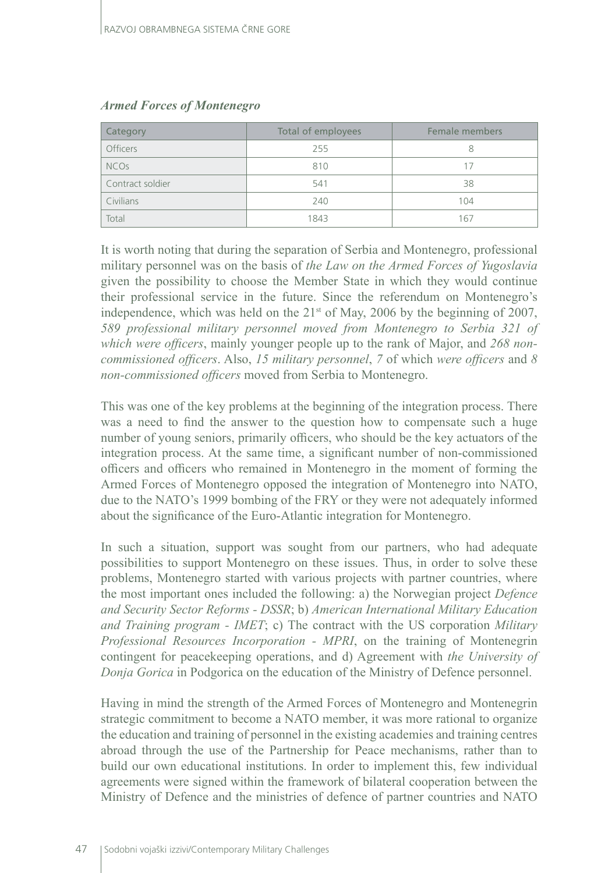| Category               | Total of employees | Female members |
|------------------------|--------------------|----------------|
| <b>Officers</b>        | 255                | 8              |
| <b>NCO<sub>S</sub></b> | 810                |                |
| Contract soldier       | 541                | 38             |
| Civilians              | 240                | 104            |
| Total                  | 1843               | 167            |

#### *Armed Forces of Montenegro*

It is worth noting that during the separation of Serbia and Montenegro, professional military personnel was on the basis of *the Law on the Armed Forces of Yugoslavia* given the possibility to choose the Member State in which they would continue their professional service in the future. Since the referendum on Montenegro's independence, which was held on the  $21<sup>st</sup>$  of May, 2006 by the beginning of 2007, *589 professional military personnel moved from Montenegro to Serbia 321 of which were officers*, mainly younger people up to the rank of Major, and *268 noncommissioned officers*. Also, *15 military personnel*, *7* of which *were officers* and *8 non-commissioned officers* moved from Serbia to Montenegro.

This was one of the key problems at the beginning of the integration process. There was a need to find the answer to the question how to compensate such a huge number of young seniors, primarily officers, who should be the key actuators of the integration process. At the same time, a significant number of non-commissioned officers and officers who remained in Montenegro in the moment of forming the Armed Forces of Montenegro opposed the integration of Montenegro into NATO, due to the NATO's 1999 bombing of the FRY or they were not adequately informed about the significance of the Euro-Atlantic integration for Montenegro.

In such a situation, support was sought from our partners, who had adequate possibilities to support Montenegro on these issues. Thus, in order to solve these problems, Montenegro started with various projects with partner countries, where the most important ones included the following: a) the Norwegian project *Defence and Security Sector Reforms - DSSR*; b) *American International Military Education and Training program - IMET*; c) The contract with the US corporation *Military Professional Resources Incorporation - MPRI*, on the training of Montenegrin contingent for peacekeeping operations, and d) Agreement with *the University of Donja Gorica* in Podgorica on the education of the Ministry of Defence personnel.

Having in mind the strength of the Armed Forces of Montenegro and Montenegrin strategic commitment to become a NATO member, it was more rational to organize the education and training of personnel in the existing academies and training centres abroad through the use of the Partnership for Peace mechanisms, rather than to build our own educational institutions. In order to implement this, few individual agreements were signed within the framework of bilateral cooperation between the Ministry of Defence and the ministries of defence of partner countries and NATO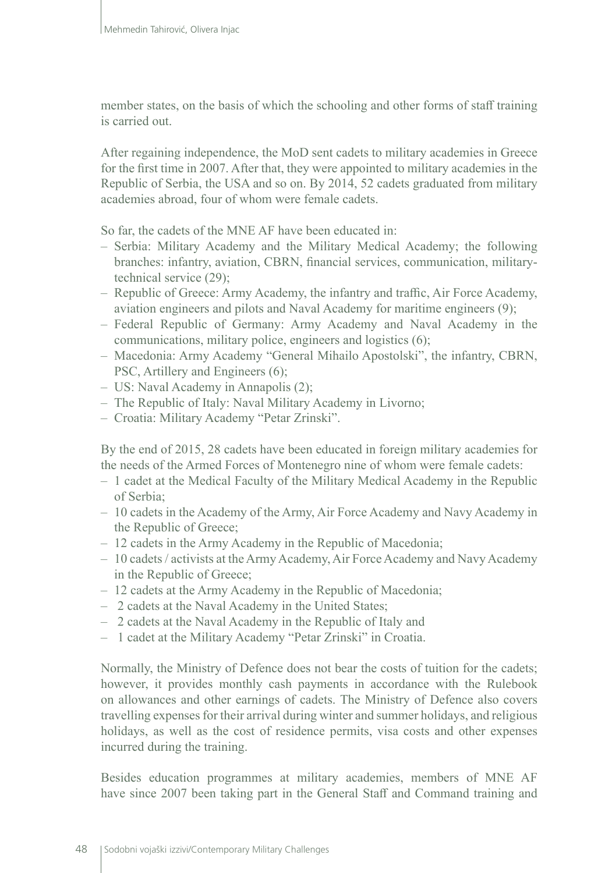member states, on the basis of which the schooling and other forms of staff training is carried out.

After regaining independence, the MoD sent cadets to military academies in Greece for the first time in 2007. After that, they were appointed to military academies in the Republic of Serbia, the USA and so on. By 2014, 52 cadets graduated from military academies abroad, four of whom were female cadets.

So far, the cadets of the MNE AF have been educated in:

- Serbia: Military Academy and the Military Medical Academy; the following branches: infantry, aviation, CBRN, financial services, communication, militarytechnical service (29);
- Republic of Greece: Army Academy, the infantry and traffic, Air Force Academy, aviation engineers and pilots and Naval Academy for maritime engineers (9);
- Federal Republic of Germany: Army Academy and Naval Academy in the communications, military police, engineers and logistics (6);
- Macedonia: Army Academy "General Mihailo Apostolski", the infantry, CBRN, PSC, Artillery and Engineers (6);
- US: Naval Academy in Annapolis (2);
- The Republic of Italy: Naval Military Academy in Livorno;
- Croatia: Military Academy "Petar Zrinski".

By the end of 2015, 28 cadets have been educated in foreign military academies for the needs of the Armed Forces of Montenegro nine of whom were female cadets:

- 1 cadet at the Medical Faculty of the Military Medical Academy in the Republic of Serbia;
- 10 cadets in the Academy of the Army, Air Force Academy and Navy Academy in the Republic of Greece;
- 12 cadets in the Army Academy in the Republic of Macedonia;
- 10 cadets / activists at the Army Academy, Air Force Academy and Navy Academy in the Republic of Greece;
- 12 cadets at the Army Academy in the Republic of Macedonia;
- 2 cadets at the Naval Academy in the United States;
- 2 cadets at the Naval Academy in the Republic of Italy and
- 1 cadet at the Military Academy "Petar Zrinski" in Croatia.

Normally, the Ministry of Defence does not bear the costs of tuition for the cadets; however, it provides monthly cash payments in accordance with the Rulebook on allowances and other earnings of cadets. The Ministry of Defence also covers travelling expenses for their arrival during winter and summer holidays, and religious holidays, as well as the cost of residence permits, visa costs and other expenses incurred during the training.

Besides education programmes at military academies, members of MNE AF have since 2007 been taking part in the General Staff and Command training and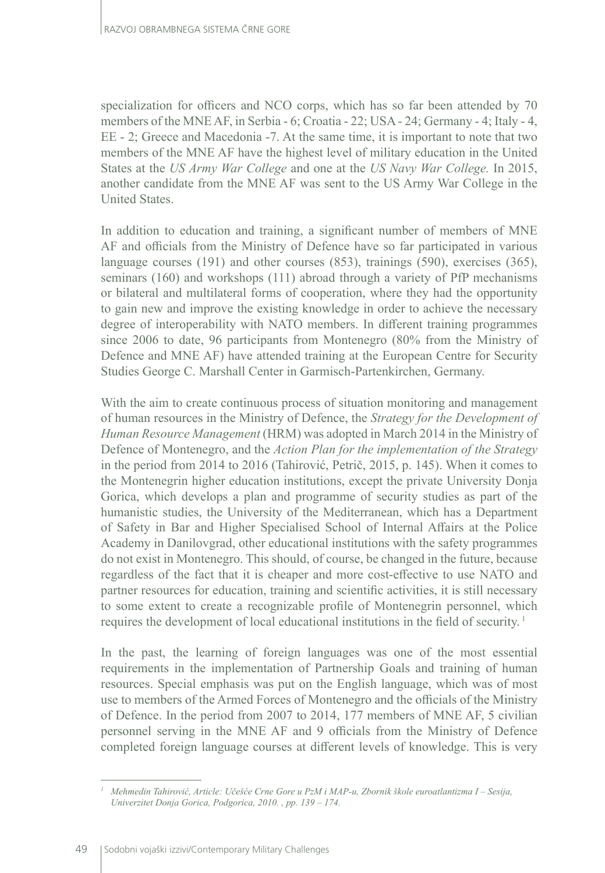specialization for officers and NCO corps, which has so far been attended by 70 members of the MNE AF, in Serbia - 6; Croatia - 22; USA - 24; Germany - 4; Italy - 4, EE - 2; Greece and Macedonia -7. At the same time, it is important to note that two members of the MNE AF have the highest level of military education in the United States at the *US Army War College* and one at the *US Navy War College.* In 2015, another candidate from the MNE AF was sent to the US Army War College in the United States.

In addition to education and training, a significant number of members of MNE AF and officials from the Ministry of Defence have so far participated in various language courses (191) and other courses (853), trainings (590), exercises (365), seminars (160) and workshops (111) abroad through a variety of PfP mechanisms or bilateral and multilateral forms of cooperation, where they had the opportunity to gain new and improve the existing knowledge in order to achieve the necessary degree of interoperability with NATO members. In different training programmes since 2006 to date, 96 participants from Montenegro (80% from the Ministry of Defence and MNE AF) have attended training at the European Centre for Security Studies George C. Marshall Center in Garmisch-Partenkirchen, Germany.

With the aim to create continuous process of situation monitoring and management of human resources in the Ministry of Defence, the *Strategy for the Development of Human Resource Management* (HRM) was adopted in March 2014 in the Ministry of Defence of Montenegro, and the *Action Plan for the implementation of the Strategy* in the period from 2014 to 2016 (Tahirović, Petrič, 2015, p. 145). When it comes to the Montenegrin higher education institutions, except the private University Donja Gorica, which develops a plan and programme of security studies as part of the humanistic studies, the University of the Mediterranean, which has a Department of Safety in Bar and Higher Specialised School of Internal Affairs at the Police Academy in Danilovgrad, other educational institutions with the safety programmes do not exist in Montenegro. This should, of course, be changed in the future, because regardless of the fact that it is cheaper and more cost-effective to use NATO and partner resources for education, training and scientific activities, it is still necessary to some extent to create a recognizable profile of Montenegrin personnel, which requires the development of local educational institutions in the field of security.<sup>1</sup>

In the past, the learning of foreign languages was one of the most essential requirements in the implementation of Partnership Goals and training of human resources. Special emphasis was put on the English language, which was of most use to members of the Armed Forces of Montenegro and the officials of the Ministry of Defence. In the period from 2007 to 2014, 177 members of MNE AF, 5 civilian personnel serving in the MNE AF and 9 officials from the Ministry of Defence completed foreign language courses at different levels of knowledge. This is very

*<sup>1</sup> Mehmedin Tahirović, Article: Učešće Crne Gore u PzM i MAP-u, Zbornik škole euroatlantizma I – Sesija, Univerzitet Donja Gorica, Podgorica, 2010. , pp. 139 – 174.*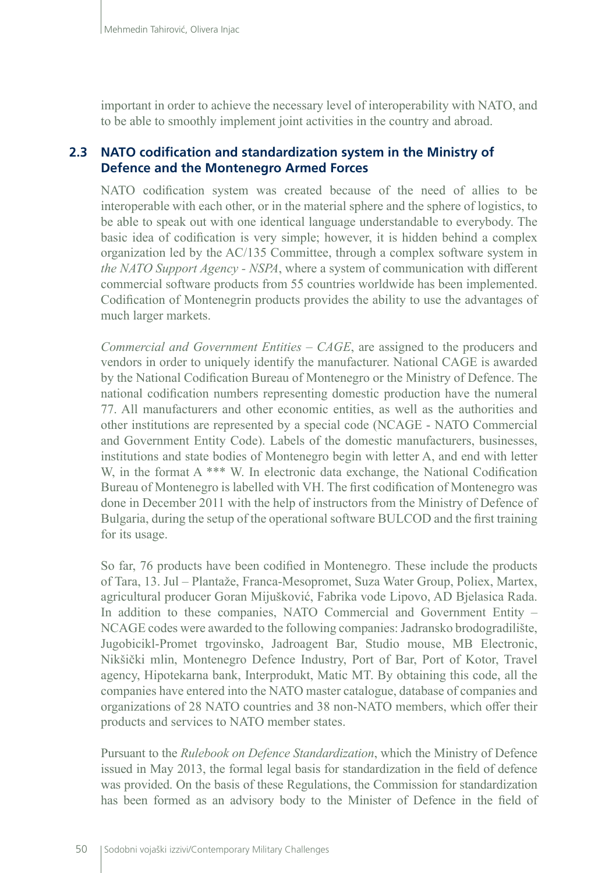important in order to achieve the necessary level of interoperability with NATO, and to be able to smoothly implement joint activities in the country and abroad.

# **2.3 NATO codification and standardization system in the Ministry of Defence and the Montenegro Armed Forces**

NATO codification system was created because of the need of allies to be interoperable with each other, or in the material sphere and the sphere of logistics, to be able to speak out with one identical language understandable to everybody. The basic idea of codification is very simple; however, it is hidden behind a complex organization led by the AC/135 Committee, through a complex software system in *the NATO Support Agency - NSPA*, where a system of communication with different commercial software products from 55 countries worldwide has been implemented. Codification of Montenegrin products provides the ability to use the advantages of much larger markets.

*Commercial and Government Entities – CAGE*, are assigned to the producers and vendors in order to uniquely identify the manufacturer. National CAGE is awarded by the National Codification Bureau of Montenegro or the Ministry of Defence. The national codification numbers representing domestic production have the numeral 77. All manufacturers and other economic entities, as well as the authorities and other institutions are represented by a special code (NCAGE - NATO Commercial and Government Entity Code). Labels of the domestic manufacturers, businesses, institutions and state bodies of Montenegro begin with letter A, and end with letter W, in the format A \*\*\* W. In electronic data exchange, the National Codification Bureau of Montenegro is labelled with VH. The first codification of Montenegro was done in December 2011 with the help of instructors from the Ministry of Defence of Bulgaria, during the setup of the operational software BULCOD and the first training for its usage.

So far, 76 products have been codified in Montenegro. These include the products of Tara, 13. Jul – Plantaže, Franca-Mesopromet, Suza Water Group, Poliex, Martex, agricultural producer Goran Mijušković, Fabrika vode Lipovo, AD Bjelasica Rada. In addition to these companies, NATO Commercial and Government Entity – NCAGE codes were awarded to the following companies: Jadransko brodogradilište, Jugobicikl-Promet trgovinsko, Jadroagent Bar, Studio mouse, MB Electronic, Nikšički mlin, Montenegro Defence Industry, Port of Bar, Port of Kotor, Travel agency, Hipotekarna bank, Interprodukt, Matic MT. By obtaining this code, all the companies have entered into the NATO master catalogue, database of companies and organizations of 28 NATO countries and 38 non-NATO members, which offer their products and services to NATO member states.

Pursuant to the *Rulebook on Defence Standardization*, which the Ministry of Defence issued in May 2013, the formal legal basis for standardization in the field of defence was provided. On the basis of these Regulations, the Commission for standardization has been formed as an advisory body to the Minister of Defence in the field of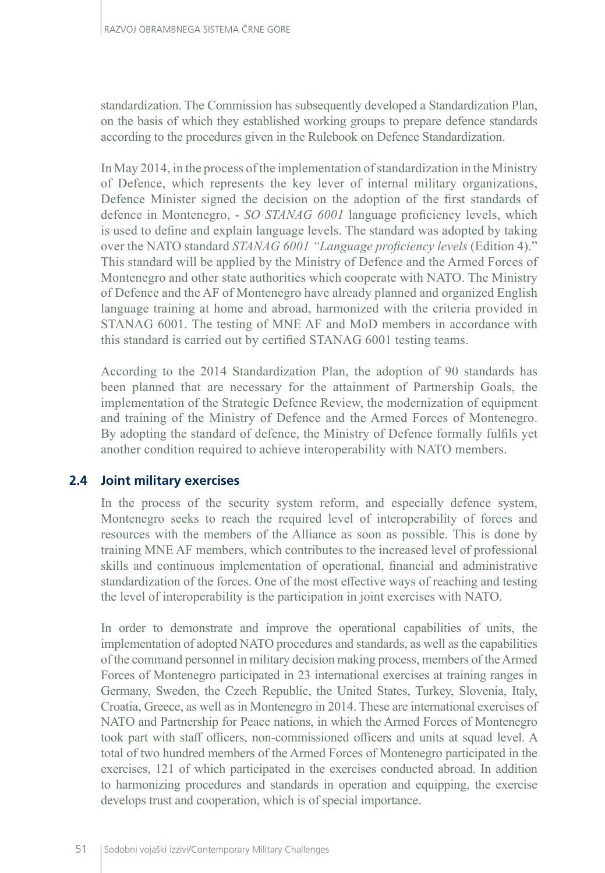standardization. The Commission has subsequently developed a Standardization Plan, on the basis of which they established working groups to prepare defence standards according to the procedures given in the Rulebook on Defence Standardization.

In May 2014, in the process of the implementation of standardization in the Ministry of Defence, which represents the key lever of internal military organizations, Defence Minister signed the decision on the adoption of the first standards of defence in Montenegro, - *SO STANAG 6001* language proficiency levels, which is used to define and explain language levels. The standard was adopted by taking over the NATO standard *STANAG 6001 "Language proficiency levels* (Edition 4)." This standard will be applied by the Ministry of Defence and the Armed Forces of Montenegro and other state authorities which cooperate with NATO. The Ministry of Defence and the AF of Montenegro have already planned and organized English language training at home and abroad, harmonized with the criteria provided in STANAG 6001. The testing of MNE AF and MoD members in accordance with this standard is carried out by certified STANAG 6001 testing teams.

According to the 2014 Standardization Plan, the adoption of 90 standards has been planned that are necessary for the attainment of Partnership Goals, the implementation of the Strategic Defence Review, the modernization of equipment and training of the Ministry of Defence and the Armed Forces of Montenegro. By adopting the standard of defence, the Ministry of Defence formally fulfils yet another condition required to achieve interoperability with NATO members.

# **2.4 Joint military exercises**

In the process of the security system reform, and especially defence system, Montenegro seeks to reach the required level of interoperability of forces and resources with the members of the Alliance as soon as possible. This is done by training MNE AF members, which contributes to the increased level of professional skills and continuous implementation of operational, financial and administrative standardization of the forces. One of the most effective ways of reaching and testing the level of interoperability is the participation in joint exercises with NATO.

In order to demonstrate and improve the operational capabilities of units, the implementation of adopted NATO procedures and standards, as well as the capabilities of the command personnel in military decision making process, members of the Armed Forces of Montenegro participated in 23 international exercises at training ranges in Germany, Sweden, the Czech Republic, the United States, Turkey, Slovenia, Italy, Croatia, Greece, as well as in Montenegro in 2014. These are international exercises of NATO and Partnership for Peace nations, in which the Armed Forces of Montenegro took part with staff officers, non-commissioned officers and units at squad level. A total of two hundred members of the Armed Forces of Montenegro participated in the exercises, 121 of which participated in the exercises conducted abroad. In addition to harmonizing procedures and standards in operation and equipping, the exercise develops trust and cooperation, which is of special importance.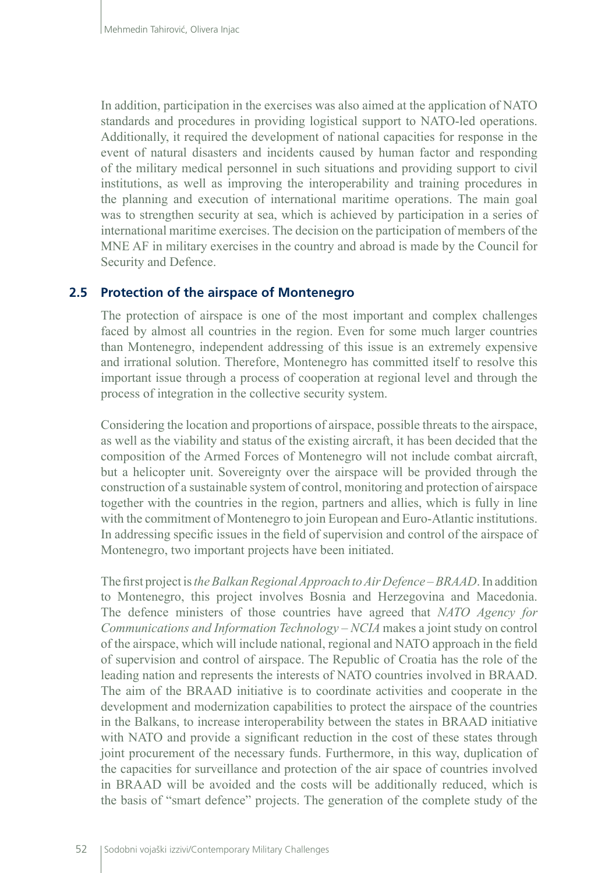In addition, participation in the exercises was also aimed at the application of NATO standards and procedures in providing logistical support to NATO-led operations. Additionally, it required the development of national capacities for response in the event of natural disasters and incidents caused by human factor and responding of the military medical personnel in such situations and providing support to civil institutions, as well as improving the interoperability and training procedures in the planning and execution of international maritime operations. The main goal was to strengthen security at sea, which is achieved by participation in a series of international maritime exercises. The decision on the participation of members of the MNE AF in military exercises in the country and abroad is made by the Council for Security and Defence.

## **2.5 Protection of the airspace of Montenegro**

The protection of airspace is one of the most important and complex challenges faced by almost all countries in the region. Even for some much larger countries than Montenegro, independent addressing of this issue is an extremely expensive and irrational solution. Therefore, Montenegro has committed itself to resolve this important issue through a process of cooperation at regional level and through the process of integration in the collective security system.

Considering the location and proportions of airspace, possible threats to the airspace, as well as the viability and status of the existing aircraft, it has been decided that the composition of the Armed Forces of Montenegro will not include combat aircraft, but a helicopter unit. Sovereignty over the airspace will be provided through the construction of a sustainable system of control, monitoring and protection of airspace together with the countries in the region, partners and allies, which is fully in line with the commitment of Montenegro to join European and Euro-Atlantic institutions. In addressing specific issues in the field of supervision and control of the airspace of Montenegro, two important projects have been initiated.

The first project is *the Balkan Regional Approach to Air Defence – BRAAD*. In addition to Montenegro, this project involves Bosnia and Herzegovina and Macedonia. The defence ministers of those countries have agreed that *NATO Agency for Communications and Information Technology – NCIA* makes a joint study on control of the airspace, which will include national, regional and NATO approach in the field of supervision and control of airspace. The Republic of Croatia has the role of the leading nation and represents the interests of NATO countries involved in BRAAD. The aim of the BRAAD initiative is to coordinate activities and cooperate in the development and modernization capabilities to protect the airspace of the countries in the Balkans, to increase interoperability between the states in BRAAD initiative with NATO and provide a significant reduction in the cost of these states through joint procurement of the necessary funds. Furthermore, in this way, duplication of the capacities for surveillance and protection of the air space of countries involved in BRAAD will be avoided and the costs will be additionally reduced, which is the basis of "smart defence" projects. The generation of the complete study of the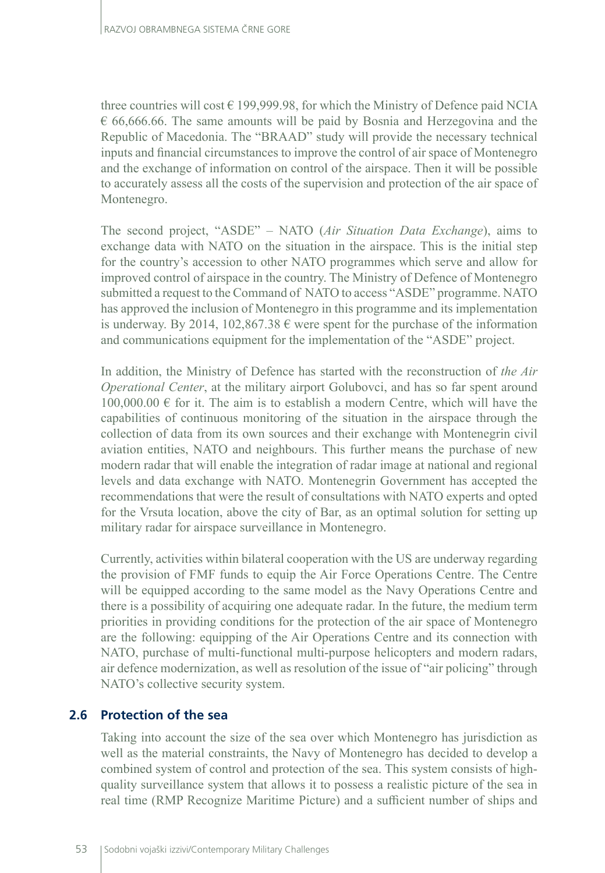three countries will cost  $\epsilon$  199,999.98, for which the Ministry of Defence paid NCIA  $\epsilon$  66,666.66. The same amounts will be paid by Bosnia and Herzegovina and the Republic of Macedonia. The "BRAAD" study will provide the necessary technical inputs and financial circumstances to improve the control of air space of Montenegro and the exchange of information on control of the airspace. Then it will be possible to accurately assess all the costs of the supervision and protection of the air space of Montenegro.

The second project, "ASDE" – NATO (*Air Situation Data Exchange*), aims to exchange data with NATO on the situation in the airspace. This is the initial step for the country's accession to other NATO programmes which serve and allow for improved control of airspace in the country. The Ministry of Defence of Montenegro submitted a request to the Command of NATO to access "ASDE" programme. NATO has approved the inclusion of Montenegro in this programme and its implementation is underway. By 2014, 102,867.38  $\epsilon$  were spent for the purchase of the information and communications equipment for the implementation of the "ASDE" project.

In addition, the Ministry of Defence has started with the reconstruction of *the Air Operational Center*, at the military airport Golubovci, and has so far spent around  $100,000.00 \in$  for it. The aim is to establish a modern Centre, which will have the capabilities of continuous monitoring of the situation in the airspace through the collection of data from its own sources and their exchange with Montenegrin civil aviation entities, NATO and neighbours. This further means the purchase of new modern radar that will enable the integration of radar image at national and regional levels and data exchange with NATO. Montenegrin Government has accepted the recommendations that were the result of consultations with NATO experts and opted for the Vrsuta location, above the city of Bar, as an optimal solution for setting up military radar for airspace surveillance in Montenegro.

Currently, activities within bilateral cooperation with the US are underway regarding the provision of FMF funds to equip the Air Force Operations Centre. The Centre will be equipped according to the same model as the Navy Operations Centre and there is a possibility of acquiring one adequate radar. In the future, the medium term priorities in providing conditions for the protection of the air space of Montenegro are the following: equipping of the Air Operations Centre and its connection with NATO, purchase of multi-functional multi-purpose helicopters and modern radars, air defence modernization, as well as resolution of the issue of "air policing" through NATO's collective security system.

# **2.6 Protection of the sea**

Taking into account the size of the sea over which Montenegro has jurisdiction as well as the material constraints, the Navy of Montenegro has decided to develop a combined system of control and protection of the sea. This system consists of highquality surveillance system that allows it to possess a realistic picture of the sea in real time (RMP Recognize Maritime Picture) and a sufficient number of ships and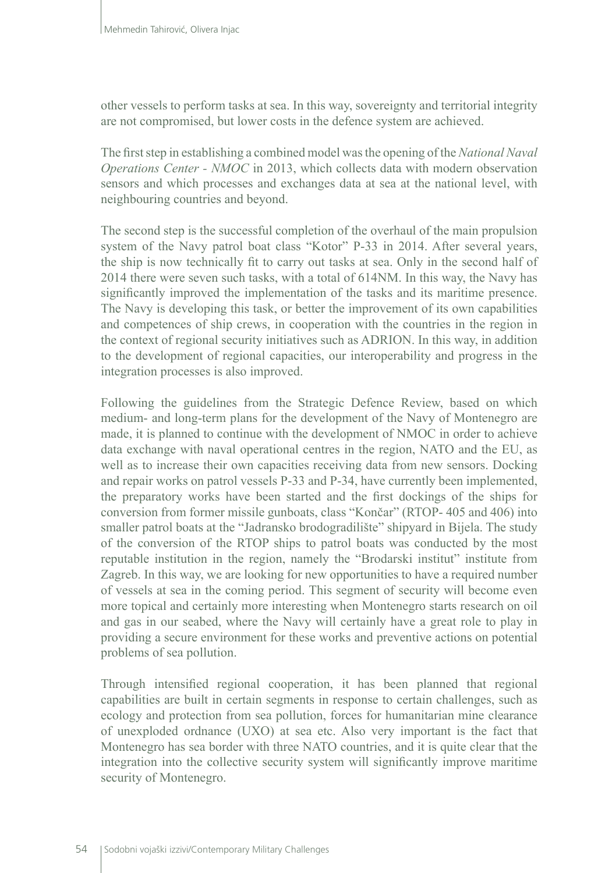other vessels to perform tasks at sea. In this way, sovereignty and territorial integrity are not compromised, but lower costs in the defence system are achieved.

The first step in establishing a combined model was the opening of the *National Naval Operations Center - NMOC* in 2013, which collects data with modern observation sensors and which processes and exchanges data at sea at the national level, with neighbouring countries and beyond.

The second step is the successful completion of the overhaul of the main propulsion system of the Navy patrol boat class "Kotor" P-33 in 2014. After several years, the ship is now technically fit to carry out tasks at sea. Only in the second half of 2014 there were seven such tasks, with a total of 614NM. In this way, the Navy has significantly improved the implementation of the tasks and its maritime presence. The Navy is developing this task, or better the improvement of its own capabilities and competences of ship crews, in cooperation with the countries in the region in the context of regional security initiatives such as ADRION. In this way, in addition to the development of regional capacities, our interoperability and progress in the integration processes is also improved.

Following the guidelines from the Strategic Defence Review, based on which medium- and long-term plans for the development of the Navy of Montenegro are made, it is planned to continue with the development of NMOC in order to achieve data exchange with naval operational centres in the region, NATO and the EU, as well as to increase their own capacities receiving data from new sensors. Docking and repair works on patrol vessels P-33 and P-34, have currently been implemented, the preparatory works have been started and the first dockings of the ships for conversion from former missile gunboats, class "Končar" (RTOP- 405 and 406) into smaller patrol boats at the "Jadransko brodogradilište" shipyard in Bijela. The study of the conversion of the RTOP ships to patrol boats was conducted by the most reputable institution in the region, namely the "Brodarski institut" institute from Zagreb. In this way, we are looking for new opportunities to have a required number of vessels at sea in the coming period. This segment of security will become even more topical and certainly more interesting when Montenegro starts research on oil and gas in our seabed, where the Navy will certainly have a great role to play in providing a secure environment for these works and preventive actions on potential problems of sea pollution.

Through intensified regional cooperation, it has been planned that regional capabilities are built in certain segments in response to certain challenges, such as ecology and protection from sea pollution, forces for humanitarian mine clearance of unexploded ordnance (UXO) at sea etc. Also very important is the fact that Montenegro has sea border with three NATO countries, and it is quite clear that the integration into the collective security system will significantly improve maritime security of Montenegro.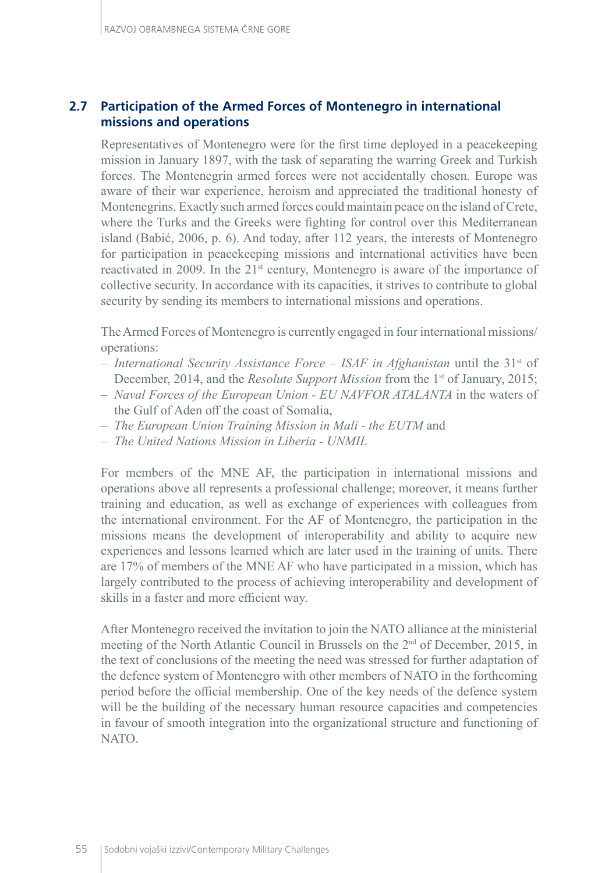# **2.7 Participation of the Armed Forces of Montenegro in international missions and operations**

Representatives of Montenegro were for the first time deployed in a peacekeeping mission in January 1897, with the task of separating the warring Greek and Turkish forces. The Montenegrin armed forces were not accidentally chosen. Europe was aware of their war experience, heroism and appreciated the traditional honesty of Montenegrins. Exactly such armed forces could maintain peace on the island of Crete, where the Turks and the Greeks were fighting for control over this Mediterranean island (Babić, 2006, p. 6). And today, after 112 years, the interests of Montenegro for participation in peacekeeping missions and international activities have been reactivated in 2009. In the 21<sup>st</sup> century, Montenegro is aware of the importance of collective security. In accordance with its capacities, it strives to contribute to global security by sending its members to international missions and operations.

The Armed Forces of Montenegro is currently engaged in four international missions/ operations:

- *International Security Assistance Force ISAF in Afghanistan* until the 31st of December, 2014, and the *Resolute Support Mission* from the 1<sup>st</sup> of January, 2015;
- *Naval Forces of the European Union EU NAVFOR ATALANTA* in the waters of the Gulf of Aden off the coast of Somalia,
- *The European Union Training Mission in Mali the EUTM* and
- *The United Nations Mission in Liberia UNMIL*

For members of the MNE AF, the participation in international missions and operations above all represents a professional challenge; moreover, it means further training and education, as well as exchange of experiences with colleagues from the international environment. For the AF of Montenegro, the participation in the missions means the development of interoperability and ability to acquire new experiences and lessons learned which are later used in the training of units. There are 17% of members of the MNE AF who have participated in a mission, which has largely contributed to the process of achieving interoperability and development of skills in a faster and more efficient way.

After Montenegro received the invitation to join the NATO alliance at the ministerial meeting of the North Atlantic Council in Brussels on the  $2<sup>nd</sup>$  of December, 2015, in the text of conclusions of the meeting the need was stressed for further adaptation of the defence system of Montenegro with other members of NATO in the forthcoming period before the official membership. One of the key needs of the defence system will be the building of the necessary human resource capacities and competencies in favour of smooth integration into the organizational structure and functioning of NATO.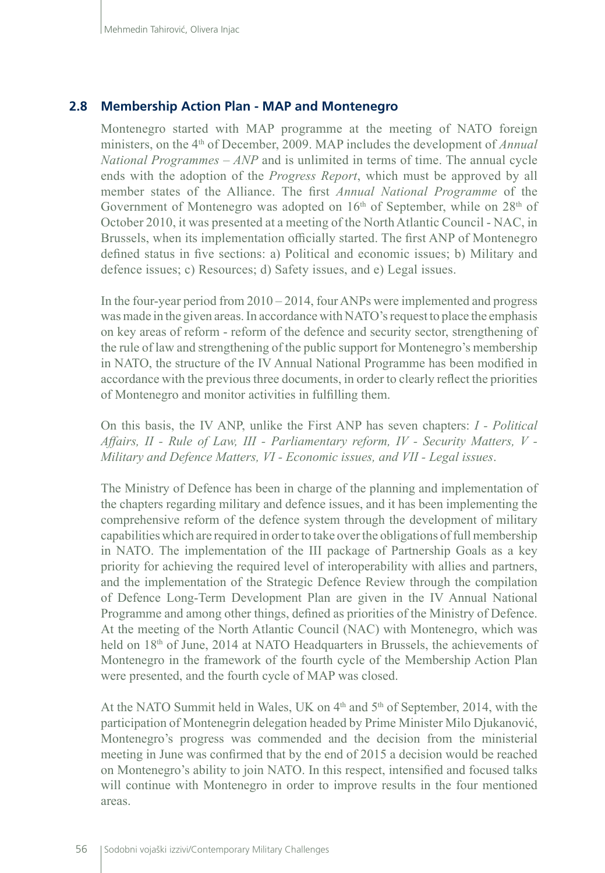### **2.8 Membership Action Plan - MAP and Montenegro**

Montenegro started with MAP programme at the meeting of NATO foreign ministers, on the 4<sup>th</sup> of December, 2009. MAP includes the development of *Annual National Programmes – ANP* and is unlimited in terms of time. The annual cycle ends with the adoption of the *Progress Report*, which must be approved by all member states of the Alliance. The first *Annual National Programme* of the Government of Montenegro was adopted on 16<sup>th</sup> of September, while on 28<sup>th</sup> of October 2010, it was presented at a meeting of the North Atlantic Council - NAC, in Brussels, when its implementation officially started. The first ANP of Montenegro defined status in five sections: a) Political and economic issues; b) Military and defence issues; c) Resources; d) Safety issues, and e) Legal issues.

In the four-year period from  $2010 - 2014$ , four ANPs were implemented and progress was made in the given areas. In accordance with NATO's request to place the emphasis on key areas of reform - reform of the defence and security sector, strengthening of the rule of law and strengthening of the public support for Montenegro's membership in NATO, the structure of the IV Annual National Programme has been modified in accordance with the previous three documents, in order to clearly reflect the priorities of Montenegro and monitor activities in fulfilling them.

On this basis, the IV ANP, unlike the First ANP has seven chapters: *I - Political Affairs, II - Rule of Law, III - Parliamentary reform, IV - Security Matters, V - Military and Defence Matters, VI - Economic issues, and VII - Legal issues*.

The Ministry of Defence has been in charge of the planning and implementation of the chapters regarding military and defence issues, and it has been implementing the comprehensive reform of the defence system through the development of military capabilities which are required in order to take over the obligations of full membership in NATO. The implementation of the III package of Partnership Goals as a key priority for achieving the required level of interoperability with allies and partners, and the implementation of the Strategic Defence Review through the compilation of Defence Long-Term Development Plan are given in the IV Annual National Programme and among other things, defined as priorities of the Ministry of Defence. At the meeting of the North Atlantic Council (NAC) with Montenegro, which was held on 18th of June, 2014 at NATO Headquarters in Brussels, the achievements of Montenegro in the framework of the fourth cycle of the Membership Action Plan were presented, and the fourth cycle of MAP was closed.

At the NATO Summit held in Wales, UK on  $4<sup>th</sup>$  and  $5<sup>th</sup>$  of September, 2014, with the participation of Montenegrin delegation headed by Prime Minister Milo Djukanović, Montenegro's progress was commended and the decision from the ministerial meeting in June was confirmed that by the end of 2015 a decision would be reached on Montenegro's ability to join NATO. In this respect, intensified and focused talks will continue with Montenegro in order to improve results in the four mentioned areas.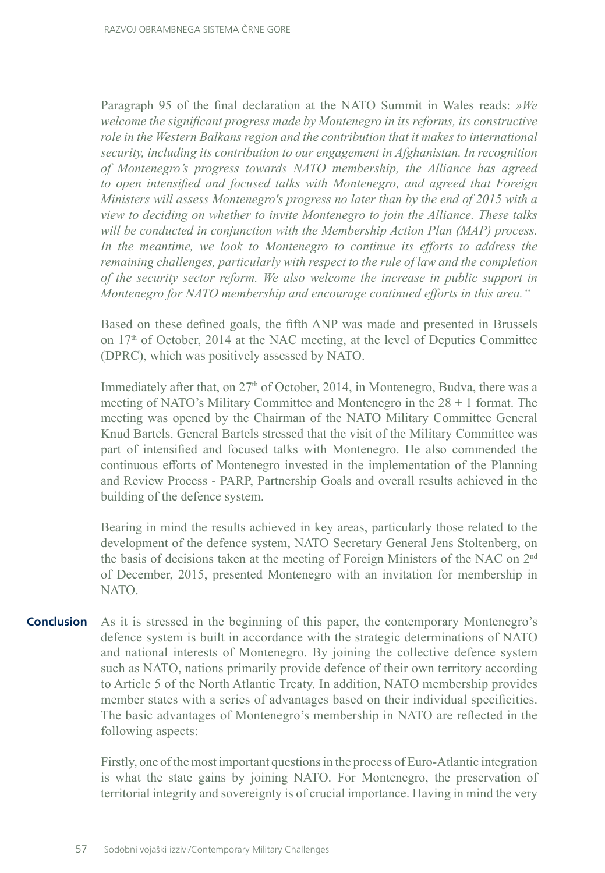Paragraph 95 of the final declaration at the NATO Summit in Wales reads: *»We welcome the significant progress made by Montenegro in its reforms, its constructive role in the Western Balkans region and the contribution that it makes to international security, including its contribution to our engagement in Afghanistan. In recognition of Montenegro's progress towards NATO membership, the Alliance has agreed to open intensified and focused talks with Montenegro, and agreed that Foreign Ministers will assess Montenegro's progress no later than by the end of 2015 with a view to deciding on whether to invite Montenegro to join the Alliance. These talks will be conducted in conjunction with the Membership Action Plan (MAP) process.*  In the meantime, we look to Montenegro to continue its efforts to address the *remaining challenges, particularly with respect to the rule of law and the completion of the security sector reform. We also welcome the increase in public support in Montenegro for NATO membership and encourage continued efforts in this area."*

Based on these defined goals, the fifth ANP was made and presented in Brussels on 17th of October, 2014 at the NAC meeting, at the level of Deputies Committee (DPRC), which was positively assessed by NATO.

Immediately after that, on 27<sup>th</sup> of October, 2014, in Montenegro, Budva, there was a meeting of NATO's Military Committee and Montenegro in the 28 + 1 format. The meeting was opened by the Chairman of the NATO Military Committee General Knud Bartels. General Bartels stressed that the visit of the Military Committee was part of intensified and focused talks with Montenegro. He also commended the continuous efforts of Montenegro invested in the implementation of the Planning and Review Process - PARP, Partnership Goals and overall results achieved in the building of the defence system.

Bearing in mind the results achieved in key areas, particularly those related to the development of the defence system, NATO Secretary General Jens Stoltenberg, on the basis of decisions taken at the meeting of Foreign Ministers of the NAC on 2nd of December, 2015, presented Montenegro with an invitation for membership in NATO.

As it is stressed in the beginning of this paper, the contemporary Montenegro's defence system is built in accordance with the strategic determinations of NATO and national interests of Montenegro. By joining the collective defence system such as NATO, nations primarily provide defence of their own territory according to Article 5 of the North Atlantic Treaty. In addition, NATO membership provides member states with a series of advantages based on their individual specificities. The basic advantages of Montenegro's membership in NATO are reflected in the following aspects: **Conclusion**

> Firstly, one of the most important questions in the process of Euro-Atlantic integration is what the state gains by joining NATO. For Montenegro, the preservation of territorial integrity and sovereignty is of crucial importance. Having in mind the very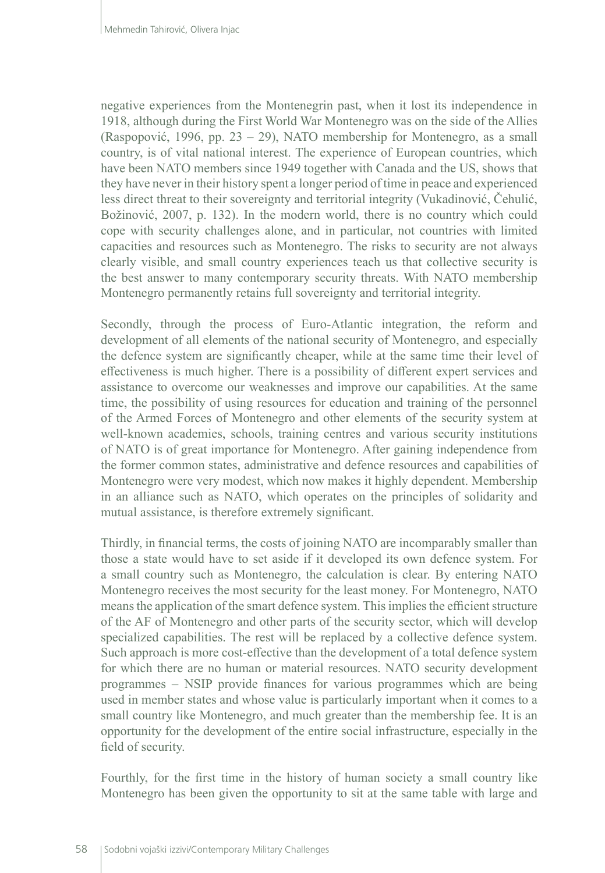negative experiences from the Montenegrin past, when it lost its independence in 1918, although during the First World War Montenegro was on the side of the Allies (Raspopović, 1996, pp. 23 – 29), NATO membership for Montenegro, as a small country, is of vital national interest. The experience of European countries, which have been NATO members since 1949 together with Canada and the US, shows that they have never in their history spent a longer period of time in peace and experienced less direct threat to their sovereignty and territorial integrity (Vukadinović, Čehulić, Božinović, 2007, p. 132). In the modern world, there is no country which could cope with security challenges alone, and in particular, not countries with limited capacities and resources such as Montenegro. The risks to security are not always clearly visible, and small country experiences teach us that collective security is the best answer to many contemporary security threats. With NATO membership Montenegro permanently retains full sovereignty and territorial integrity.

Secondly, through the process of Euro-Atlantic integration, the reform and development of all elements of the national security of Montenegro, and especially the defence system are significantly cheaper, while at the same time their level of effectiveness is much higher. There is a possibility of different expert services and assistance to overcome our weaknesses and improve our capabilities. At the same time, the possibility of using resources for education and training of the personnel of the Armed Forces of Montenegro and other elements of the security system at well-known academies, schools, training centres and various security institutions of NATO is of great importance for Montenegro. After gaining independence from the former common states, administrative and defence resources and capabilities of Montenegro were very modest, which now makes it highly dependent. Membership in an alliance such as NATO, which operates on the principles of solidarity and mutual assistance, is therefore extremely significant.

Thirdly, in financial terms, the costs of joining NATO are incomparably smaller than those a state would have to set aside if it developed its own defence system. For a small country such as Montenegro, the calculation is clear. By entering NATO Montenegro receives the most security for the least money. For Montenegro, NATO means the application of the smart defence system. This implies the efficient structure of the AF of Montenegro and other parts of the security sector, which will develop specialized capabilities. The rest will be replaced by a collective defence system. Such approach is more cost-effective than the development of a total defence system for which there are no human or material resources. NATO security development programmes – NSIP provide finances for various programmes which are being used in member states and whose value is particularly important when it comes to a small country like Montenegro, and much greater than the membership fee. It is an opportunity for the development of the entire social infrastructure, especially in the field of security.

Fourthly, for the first time in the history of human society a small country like Montenegro has been given the opportunity to sit at the same table with large and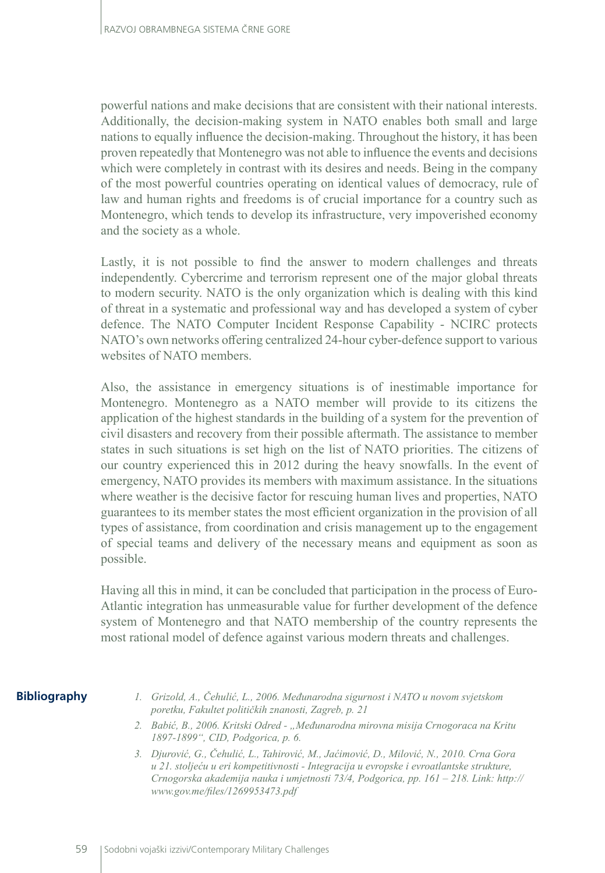powerful nations and make decisions that are consistent with their national interests. Additionally, the decision-making system in NATO enables both small and large nations to equally influence the decision-making. Throughout the history, it has been proven repeatedly that Montenegro was not able to influence the events and decisions which were completely in contrast with its desires and needs. Being in the company of the most powerful countries operating on identical values of democracy, rule of law and human rights and freedoms is of crucial importance for a country such as Montenegro, which tends to develop its infrastructure, very impoverished economy and the society as a whole.

Lastly, it is not possible to find the answer to modern challenges and threats independently. Cybercrime and terrorism represent one of the major global threats to modern security. NATO is the only organization which is dealing with this kind of threat in a systematic and professional way and has developed a system of cyber defence. The NATO Computer Incident Response Capability - NCIRC protects NATO's own networks offering centralized 24-hour cyber-defence support to various websites of NATO members.

Also, the assistance in emergency situations is of inestimable importance for Montenegro. Montenegro as a NATO member will provide to its citizens the application of the highest standards in the building of a system for the prevention of civil disasters and recovery from their possible aftermath. The assistance to member states in such situations is set high on the list of NATO priorities. The citizens of our country experienced this in 2012 during the heavy snowfalls. In the event of emergency, NATO provides its members with maximum assistance. In the situations where weather is the decisive factor for rescuing human lives and properties, NATO guarantees to its member states the most efficient organization in the provision of all types of assistance, from coordination and crisis management up to the engagement of special teams and delivery of the necessary means and equipment as soon as possible.

Having all this in mind, it can be concluded that participation in the process of Euro-Atlantic integration has unmeasurable value for further development of the defence system of Montenegro and that NATO membership of the country represents the most rational model of defence against various modern threats and challenges.

#### **Bibliography**

- *1. Grizold, A., Čehulić, L., 2006. Međunarodna sigurnost i NATO u novom svjetskom poretku, Fakultet političkih znanosti, Zagreb, p. 21*
- *2. Babić, B., 2006. Kritski Odred "Međunarodna mirovna misija Crnogoraca na Kritu 1897-1899", CID, Podgorica, p. 6.*
- *3. Djurović, G., Čehulić, L., Tahirović, M., Jaćimović, D., Milović, N., 2010. Crna Gora u 21. stoljeću u eri kompetitivnosti - Integracija u evropske i evroatlantske strukture, Crnogorska akademija nauka i umjetnosti 73/4, Podgorica, pp. 161 – 218. Link: [http://](http://www.gov.me/files/1269953473.pdf) [www.gov.me/files/1269953473.pdf](http://www.gov.me/files/1269953473.pdf)*